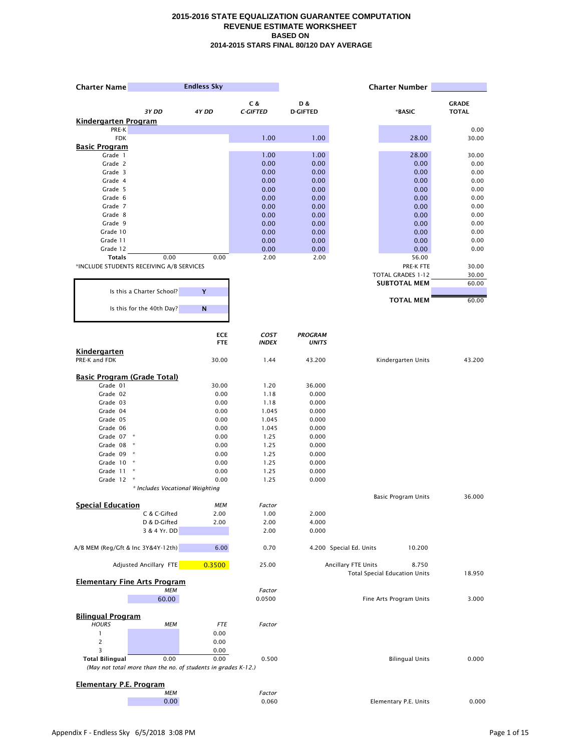| <b>Charter Name</b>                      |                                                               | <b>Endless Sky</b> |                  |                 |                         | <b>Charter Number</b>                         |               |
|------------------------------------------|---------------------------------------------------------------|--------------------|------------------|-----------------|-------------------------|-----------------------------------------------|---------------|
|                                          |                                                               |                    | C &              | D &             |                         |                                               | <b>GRADE</b>  |
|                                          | 3Y DD                                                         | 4Y DD              | <b>C-GIFTED</b>  | <b>D-GIFTED</b> |                         | *BASIC                                        | <b>TOTAL</b>  |
| <b>Kindergarten Program</b>              |                                                               |                    |                  |                 |                         |                                               |               |
| PRE-K<br><b>FDK</b>                      |                                                               |                    | 1.00             | 1.00            |                         | 28.00                                         | 0.00<br>30.00 |
| <b>Basic Program</b>                     |                                                               |                    |                  |                 |                         |                                               |               |
| Grade 1                                  |                                                               |                    | 1.00             | 1.00            |                         | 28.00                                         | 30.00         |
| Grade 2                                  |                                                               |                    | 0.00             | 0.00            |                         | 0.00                                          | 0.00          |
| Grade 3                                  |                                                               |                    | 0.00             | 0.00            |                         | 0.00                                          | 0.00          |
| Grade 4                                  |                                                               |                    | 0.00             | 0.00            |                         | 0.00                                          | 0.00          |
| Grade 5                                  |                                                               |                    | 0.00             | 0.00            |                         | 0.00                                          | 0.00          |
| Grade 6<br>Grade 7                       |                                                               |                    | 0.00<br>0.00     | 0.00<br>0.00    |                         | 0.00                                          | 0.00          |
| Grade 8                                  |                                                               |                    | 0.00             | 0.00            |                         | 0.00<br>0.00                                  | 0.00<br>0.00  |
| Grade 9                                  |                                                               |                    | 0.00             | 0.00            |                         | 0.00                                          | 0.00          |
| Grade 10                                 |                                                               |                    | 0.00             | 0.00            |                         | 0.00                                          | 0.00          |
| Grade 11                                 |                                                               |                    | 0.00             | 0.00            |                         | 0.00                                          | 0.00          |
| Grade 12                                 |                                                               |                    | 0.00             | 0.00            |                         | 0.00                                          | 0.00          |
| <b>Totals</b>                            | 0.00                                                          | 0.00               | 2.00             | 2.00            |                         | 56.00                                         |               |
|                                          | *INCLUDE STUDENTS RECEIVING A/B SERVICES                      |                    |                  |                 |                         | PRE-K FTE                                     | 30.00         |
|                                          |                                                               |                    |                  |                 |                         | <b>TOTAL GRADES 1-12</b>                      | 30.00         |
|                                          |                                                               |                    |                  |                 |                         | <b>SUBTOTAL MEM</b>                           | 60.00         |
|                                          | Is this a Charter School?                                     | Y                  |                  |                 |                         | <b>TOTAL MEM</b>                              | 60.00         |
|                                          | Is this for the 40th Day?                                     | ${\bf N}$          |                  |                 |                         |                                               |               |
|                                          |                                                               | <b>ECE</b>         | COST             | <b>PROGRAM</b>  |                         |                                               |               |
|                                          |                                                               | <b>FTE</b>         | <b>INDEX</b>     | <b>UNITS</b>    |                         |                                               |               |
| <b>Kindergarten</b><br>PRE-K and FDK     |                                                               | 30.00              | 1.44             | 43.200          |                         | Kindergarten Units                            | 43.200        |
| <b>Basic Program (Grade Total)</b>       |                                                               |                    |                  |                 |                         |                                               |               |
| Grade 01                                 |                                                               | 30.00              | 1.20             | 36.000          |                         |                                               |               |
| Grade 02                                 |                                                               | 0.00               | 1.18             | 0.000           |                         |                                               |               |
| Grade 03                                 |                                                               | 0.00               | 1.18             | 0.000           |                         |                                               |               |
| Grade 04                                 |                                                               | 0.00               | 1.045            | 0.000           |                         |                                               |               |
| Grade 05                                 |                                                               | 0.00               | 1.045            | 0.000           |                         |                                               |               |
| Grade 06                                 |                                                               | 0.00               | 1.045            | 0.000           |                         |                                               |               |
| Grade 07 *<br>Grade 08                   | $\star$                                                       | 0.00<br>0.00       | 1.25<br>1.25     | 0.000<br>0.000  |                         |                                               |               |
| Grade 09                                 | $\star$                                                       | 0.00               | 1.25             | 0.000           |                         |                                               |               |
| Grade 10                                 | $\star$                                                       | 0.00               | 1.25             | 0.000           |                         |                                               |               |
| Grade 11                                 | $\ast$                                                        | 0.00               | 1.25             | 0.000           |                         |                                               |               |
| Grade 12                                 | $\ast$                                                        | 0.00               | 1.25             | 0.000           |                         |                                               |               |
|                                          | * Includes Vocational Weighting                               |                    |                  |                 |                         |                                               |               |
|                                          |                                                               |                    |                  |                 |                         | <b>Basic Program Units</b>                    | 36.000        |
| <b>Special Education</b>                 |                                                               | <b>MEM</b>         | Factor           |                 |                         |                                               |               |
|                                          | C & C-Gifted                                                  | 2.00               | 1.00             | 2.000           |                         |                                               |               |
|                                          | D & D-Gifted<br>3 & 4 Yr. DD                                  | 2.00               | 2.00<br>2.00     | 4.000<br>0.000  |                         |                                               |               |
|                                          |                                                               |                    |                  |                 |                         |                                               |               |
| A/B MEM (Reg/Gft & Inc 3Y&4Y-12th)       |                                                               | 6.00               | 0.70             |                 | 4.200 Special Ed. Units | 10.200                                        |               |
|                                          | Adjusted Ancillary FTE                                        | 0.3500             | 25.00            |                 | Ancillary FTE Units     | 8.750<br><b>Total Special Education Units</b> | 18.950        |
|                                          | <b>Elementary Fine Arts Program</b>                           |                    |                  |                 |                         |                                               |               |
|                                          | <b>MEM</b><br>60.00                                           |                    | Factor<br>0.0500 |                 |                         | Fine Arts Program Units                       | 3.000         |
|                                          |                                                               |                    |                  |                 |                         |                                               |               |
| <b>Bilingual Program</b><br><b>HOURS</b> | МЕМ                                                           | <b>FTE</b>         | Factor           |                 |                         |                                               |               |
| 1                                        |                                                               | 0.00               |                  |                 |                         |                                               |               |
| 2                                        |                                                               | 0.00               |                  |                 |                         |                                               |               |
| 3                                        |                                                               | 0.00               |                  |                 |                         |                                               |               |
| <b>Total Bilingual</b>                   | 0.00                                                          | 0.00               | 0.500            |                 |                         | <b>Bilingual Units</b>                        | 0.000         |
|                                          | (May not total more than the no. of students in grades K-12.) |                    |                  |                 |                         |                                               |               |
|                                          |                                                               |                    |                  |                 |                         |                                               |               |
| <b>Elementary P.E. Program</b>           | <b>MEM</b>                                                    |                    | Factor           |                 |                         |                                               |               |
|                                          | 0.00                                                          |                    | 0.060            |                 |                         | Elementary P.E. Units                         | 0.000         |
|                                          |                                                               |                    |                  |                 |                         |                                               |               |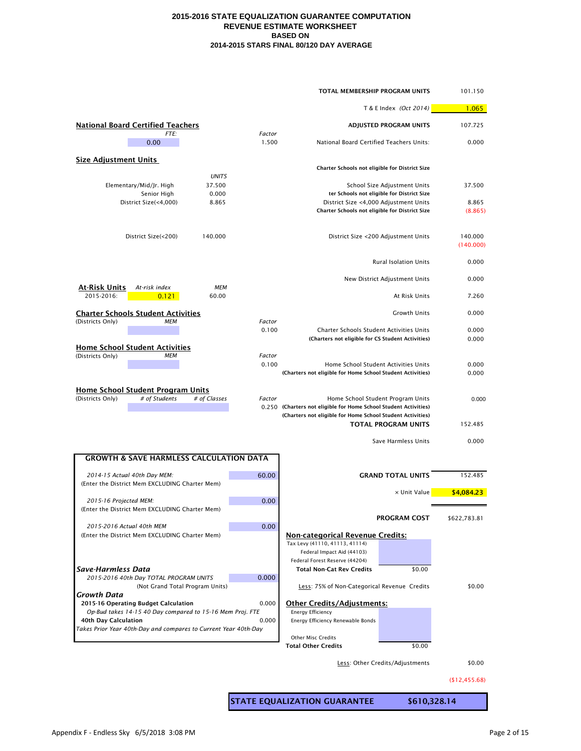|                                                                                                         | TOTAL MEMBERSHIP PROGRAM UNITS                                                                                                                                                                    | 101.150              |
|---------------------------------------------------------------------------------------------------------|---------------------------------------------------------------------------------------------------------------------------------------------------------------------------------------------------|----------------------|
|                                                                                                         | T & E Index (Oct 2014)                                                                                                                                                                            | 1.065                |
| <b>National Board Certified Teachers</b><br><i>FTE:</i><br>Factor                                       | <b>ADJUSTED PROGRAM UNITS</b>                                                                                                                                                                     | 107.725              |
| 0.00<br>1.500                                                                                           | National Board Certified Teachers Units:                                                                                                                                                          | 0.000                |
| <b>Size Adjustment Units</b>                                                                            | Charter Schools not eligible for District Size                                                                                                                                                    |                      |
| <b>UNITS</b>                                                                                            |                                                                                                                                                                                                   |                      |
| 37.500<br>Elementary/Mid/Jr. High                                                                       | School Size Adjustment Units                                                                                                                                                                      | 37.500               |
| Senior High<br>0.000<br>District Size(<4,000)<br>8.865                                                  | ter Schools not eligible for District Size<br>District Size <4,000 Adjustment Units                                                                                                               | 8.865                |
|                                                                                                         | Charter Schools not eligible for District Size                                                                                                                                                    | (8.865)              |
| District Size(<200)<br>140.000                                                                          | District Size <200 Adjustment Units                                                                                                                                                               | 140.000<br>(140.000) |
|                                                                                                         | <b>Rural Isolation Units</b>                                                                                                                                                                      | 0.000                |
| <b>MEM</b><br><b>At-Risk Units</b><br>At-risk index                                                     | New District Adjustment Units                                                                                                                                                                     | 0.000                |
| 2015-2016:<br>0.121<br>60.00                                                                            | At Risk Units                                                                                                                                                                                     | 7.260                |
| <b>Charter Schools Student Activities</b>                                                               | <b>Growth Units</b>                                                                                                                                                                               | 0.000                |
| (Districts Only)<br>МЕМ<br>Factor                                                                       |                                                                                                                                                                                                   |                      |
| 0.100                                                                                                   | <b>Charter Schools Student Activities Units</b><br>(Charters not eligible for CS Student Activities)                                                                                              | 0.000<br>0.000       |
| <b>Home School Student Activities</b>                                                                   |                                                                                                                                                                                                   |                      |
| (Districts Only)<br>МЕМ<br>Factor                                                                       |                                                                                                                                                                                                   |                      |
| 0.100                                                                                                   | Home School Student Activities Units<br>(Charters not eligible for Home School Student Activities)                                                                                                | 0.000<br>0.000       |
|                                                                                                         |                                                                                                                                                                                                   |                      |
| <b>Home School Student Program Units</b><br># of Classes<br># of Students<br>(Districts Only)<br>Factor | Home School Student Program Units<br>0.250 (Charters not eligible for Home School Student Activities)<br>(Charters not eligible for Home School Student Activities)<br><b>TOTAL PROGRAM UNITS</b> | 0.000<br>152.485     |
|                                                                                                         | Save Harmless Units                                                                                                                                                                               | 0.000                |
| <b>GROWTH &amp; SAVE HARMLESS CALCULATION DATA</b>                                                      |                                                                                                                                                                                                   |                      |
|                                                                                                         |                                                                                                                                                                                                   |                      |
| 60.00<br>2014-15 Actual 40th Day MEM:                                                                   | <b>GRAND TOTAL UNITS</b>                                                                                                                                                                          | 152.485              |
| (Enter the District Mem EXCLUDING Charter Mem)                                                          | x Unit Value                                                                                                                                                                                      | \$4,084.23           |
| 0.00<br>2015-16 Projected MEM:                                                                          |                                                                                                                                                                                                   |                      |
| (Enter the District Mem EXCLUDING Charter Mem)                                                          | <b>PROGRAM COST</b>                                                                                                                                                                               | \$622,783.81         |
| 2015-2016 Actual 40th MEM<br>0.00                                                                       |                                                                                                                                                                                                   |                      |
| (Enter the District Mem EXCLUDING Charter Mem)                                                          | <b>Non-categorical Revenue Credits:</b>                                                                                                                                                           |                      |
|                                                                                                         | Tax Levy (41110, 41113, 41114)<br>Federal Impact Aid (44103)                                                                                                                                      |                      |
|                                                                                                         | Federal Forest Reserve (44204)                                                                                                                                                                    |                      |
| <b>Save-Harmless Data</b>                                                                               | \$0.00<br><b>Total Non-Cat Rev Credits</b>                                                                                                                                                        |                      |
| 2015-2016 40th Day TOTAL PROGRAM UNITS<br>0.000<br>(Not Grand Total Program Units)                      | Less: 75% of Non-Categorical Revenue Credits                                                                                                                                                      | \$0.00               |
| Growth Data<br>2015-16 Operating Budget Calculation<br>0.000                                            | <b>Other Credits/Adjustments:</b>                                                                                                                                                                 |                      |
| Op-Bud takes 14-15 40 Day compared to 15-16 Mem Proj. FTE                                               | <b>Energy Efficiency</b>                                                                                                                                                                          |                      |
| 40th Day Calculation<br>0.000                                                                           | Energy Efficiency Renewable Bonds                                                                                                                                                                 |                      |
| Takes Prior Year 40th-Day and compares to Current Year 40th-Day                                         | <b>Other Misc Credits</b>                                                                                                                                                                         |                      |
|                                                                                                         | <b>Total Other Credits</b><br>\$0.00                                                                                                                                                              |                      |
|                                                                                                         | Less: Other Credits/Adjustments                                                                                                                                                                   | \$0.00               |
|                                                                                                         |                                                                                                                                                                                                   |                      |

(\$12,455.68)

**STATE EQUALIZATION GUARANTEE \$610,328.14**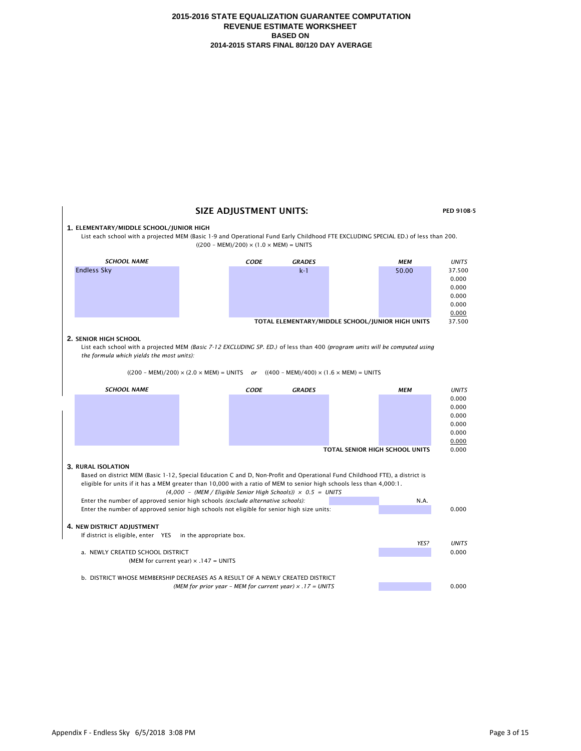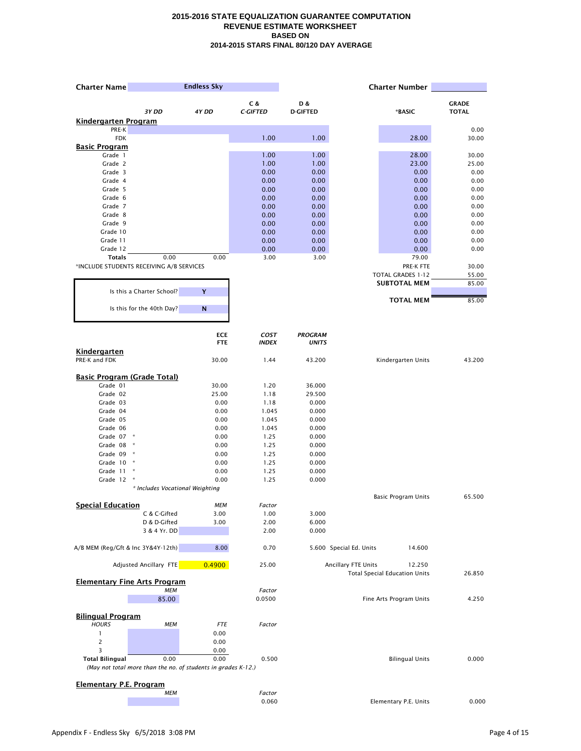| <b>Charter Name</b>                  |                                          | <b>Endless Sky</b>                                                    |                 |                 |                         | <b>Charter Number</b>                |               |
|--------------------------------------|------------------------------------------|-----------------------------------------------------------------------|-----------------|-----------------|-------------------------|--------------------------------------|---------------|
|                                      |                                          |                                                                       | C &             | D &             |                         |                                      | <b>GRADE</b>  |
|                                      | 3Y DD                                    | 4Y DD                                                                 | <b>C-GIFTED</b> | <b>D-GIFTED</b> |                         | *BASIC                               | <b>TOTAL</b>  |
| <b>Kindergarten Program</b>          |                                          |                                                                       |                 |                 |                         |                                      |               |
| PRE-K<br><b>FDK</b>                  |                                          |                                                                       | 1.00            | 1.00            |                         | 28.00                                | 0.00<br>30.00 |
| <b>Basic Program</b>                 |                                          |                                                                       |                 |                 |                         |                                      |               |
| Grade 1                              |                                          |                                                                       | 1.00            | 1.00            |                         | 28.00                                | 30.00         |
| Grade 2                              |                                          |                                                                       | 1.00            | 1.00            |                         | 23.00                                | 25.00         |
| Grade 3                              |                                          |                                                                       | 0.00            | 0.00            |                         | 0.00                                 | 0.00          |
| Grade 4                              |                                          |                                                                       | 0.00            | 0.00            |                         | 0.00                                 | 0.00          |
| Grade 5                              |                                          |                                                                       | 0.00            | 0.00            |                         | 0.00                                 | 0.00          |
| Grade 6<br>Grade 7                   |                                          |                                                                       | 0.00<br>0.00    | 0.00<br>0.00    |                         | 0.00<br>0.00                         | 0.00<br>0.00  |
| Grade 8                              |                                          |                                                                       | 0.00            | 0.00            |                         | 0.00                                 | 0.00          |
| Grade 9                              |                                          |                                                                       | 0.00            | 0.00            |                         | 0.00                                 | 0.00          |
| Grade 10                             |                                          |                                                                       | 0.00            | 0.00            |                         | 0.00                                 | 0.00          |
| Grade 11                             |                                          |                                                                       | 0.00            | 0.00            |                         | 0.00                                 | 0.00          |
| Grade 12                             |                                          |                                                                       | 0.00            | 0.00            |                         | 0.00                                 | 0.00          |
| <b>Totals</b>                        | 0.00                                     | 0.00                                                                  | 3.00            | 3.00            |                         | 79.00                                |               |
|                                      | *INCLUDE STUDENTS RECEIVING A/B SERVICES |                                                                       |                 |                 |                         | PRE-K FTE                            | 30.00         |
|                                      |                                          |                                                                       |                 |                 |                         | <b>TOTAL GRADES 1-12</b>             | 55.00         |
|                                      | Is this a Charter School?                | Y                                                                     |                 |                 |                         | <b>SUBTOTAL MEM</b>                  | 85.00         |
|                                      |                                          |                                                                       |                 |                 |                         | <b>TOTAL MEM</b>                     | 85.00         |
|                                      | Is this for the 40th Day?                | ${\bf N}$                                                             |                 |                 |                         |                                      |               |
|                                      |                                          | <b>ECE</b>                                                            | COST            | <b>PROGRAM</b>  |                         |                                      |               |
|                                      |                                          | <b>FTE</b>                                                            | <b>INDEX</b>    | <b>UNITS</b>    |                         |                                      |               |
| <b>Kindergarten</b><br>PRE-K and FDK |                                          | 30.00                                                                 | 1.44            | 43.200          |                         | Kindergarten Units                   | 43.200        |
| <b>Basic Program (Grade Total)</b>   |                                          |                                                                       |                 |                 |                         |                                      |               |
| Grade 01                             |                                          | 30.00                                                                 | 1.20            | 36.000          |                         |                                      |               |
| Grade 02                             |                                          | 25.00                                                                 | 1.18            | 29.500          |                         |                                      |               |
| Grade 03                             |                                          | 0.00                                                                  | 1.18            | 0.000           |                         |                                      |               |
| Grade 04                             |                                          | 0.00                                                                  | 1.045           | 0.000           |                         |                                      |               |
| Grade 05                             |                                          | 0.00                                                                  | 1.045           | 0.000           |                         |                                      |               |
| Grade 06<br>Grade 07 *               |                                          | 0.00<br>0.00                                                          | 1.045<br>1.25   | 0.000<br>0.000  |                         |                                      |               |
| Grade 08                             | $\ast$                                   | 0.00                                                                  | 1.25            | 0.000           |                         |                                      |               |
| Grade 09                             | $\star$                                  | 0.00                                                                  | 1.25            | 0.000           |                         |                                      |               |
| Grade 10                             | $\star$                                  | 0.00                                                                  | 1.25            | 0.000           |                         |                                      |               |
| Grade 11                             | $\star$                                  | 0.00                                                                  | 1.25            | 0.000           |                         |                                      |               |
| Grade 12                             | $\ast$                                   | 0.00                                                                  | 1.25            | 0.000           |                         |                                      |               |
|                                      | * Includes Vocational Weighting          |                                                                       |                 |                 |                         |                                      |               |
|                                      |                                          |                                                                       |                 |                 |                         | <b>Basic Program Units</b>           | 65.500        |
| <b>Special Education</b>             |                                          | <b>MEM</b>                                                            | Factor          |                 |                         |                                      |               |
|                                      | C & C-Gifted<br>D & D-Gifted             | 3.00<br>3.00                                                          | 1.00<br>2.00    | 3.000<br>6.000  |                         |                                      |               |
|                                      | 3 & 4 Yr. DD                             |                                                                       | 2.00            | 0.000           |                         |                                      |               |
| A/B MEM (Reg/Gft & Inc 3Y&4Y-12th)   |                                          | 8.00                                                                  | 0.70            |                 | 5.600 Special Ed. Units | 14.600                               |               |
|                                      | Adjusted Ancillary FTE                   | 0.4900                                                                | 25.00           |                 | Ancillary FTE Units     | 12.250                               |               |
|                                      | <b>Elementary Fine Arts Program</b>      |                                                                       |                 |                 |                         | <b>Total Special Education Units</b> | 26.850        |
|                                      | <b>MEM</b><br>85.00                      |                                                                       | Factor          |                 |                         |                                      | 4.250         |
|                                      |                                          |                                                                       | 0.0500          |                 |                         | Fine Arts Program Units              |               |
| <b>Bilingual Program</b>             |                                          |                                                                       |                 |                 |                         |                                      |               |
| <b>HOURS</b>                         | МЕМ                                      | <b>FTE</b>                                                            | Factor          |                 |                         |                                      |               |
| 1                                    |                                          | 0.00                                                                  |                 |                 |                         |                                      |               |
|                                      |                                          | 0.00                                                                  |                 |                 |                         |                                      |               |
| 3                                    |                                          | 0.00                                                                  |                 |                 |                         |                                      |               |
| <b>Total Bilingual</b>               | 0.00                                     | 0.00<br>(May not total more than the no. of students in grades K-12.) | 0.500           |                 |                         | <b>Bilingual Units</b>               | 0.000         |
|                                      |                                          |                                                                       |                 |                 |                         |                                      |               |
| <b>Elementary P.E. Program</b>       |                                          |                                                                       |                 |                 |                         |                                      |               |
|                                      | <b>MEM</b>                               |                                                                       | Factor          |                 |                         |                                      |               |
|                                      |                                          |                                                                       | 0.060           |                 |                         | Elementary P.E. Units                | 0.000         |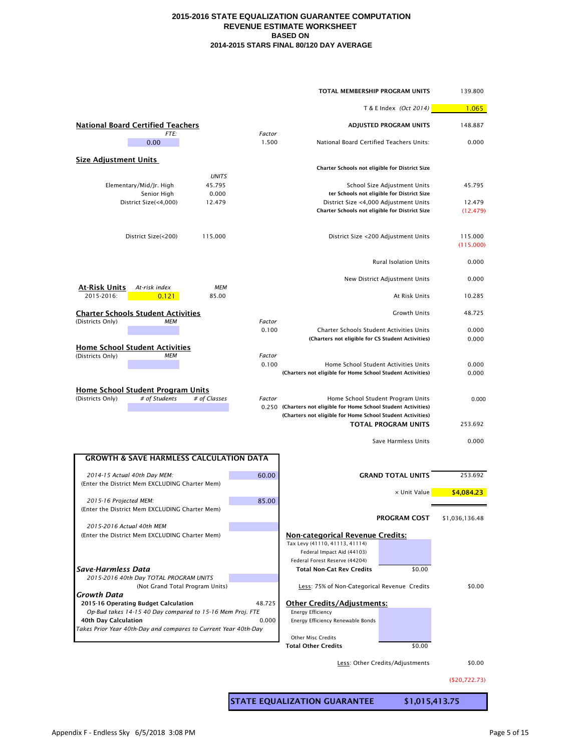|                                                                                   |                 | TOTAL MEMBERSHIP PROGRAM UNITS                                            |                                 | 139.800              |
|-----------------------------------------------------------------------------------|-----------------|---------------------------------------------------------------------------|---------------------------------|----------------------|
|                                                                                   |                 |                                                                           | T & E Index (Oct 2014)          | 1.065                |
| <b>National Board Certified Teachers</b>                                          |                 |                                                                           | <b>ADJUSTED PROGRAM UNITS</b>   | 148.887              |
| <b>FTE:</b><br>0.00                                                               | Factor<br>1.500 | National Board Certified Teachers Units:                                  |                                 | 0.000                |
| <b>Size Adjustment Units</b>                                                      |                 | Charter Schools not eligible for District Size                            |                                 |                      |
| <b>UNITS</b>                                                                      |                 |                                                                           |                                 |                      |
| Elementary/Mid/Jr. High<br>45.795<br>Senior High<br>0.000                         |                 | ter Schools not eligible for District Size                                | School Size Adjustment Units    | 45.795               |
| District Size(<4,000)<br>12.479                                                   |                 | District Size <4,000 Adjustment Units                                     |                                 | 12.479               |
|                                                                                   |                 | Charter Schools not eligible for District Size                            |                                 | (12.479)             |
| District Size(<200)<br>115.000                                                    |                 | District Size <200 Adjustment Units                                       |                                 | 115.000<br>(115.000) |
|                                                                                   |                 |                                                                           | <b>Rural Isolation Units</b>    | 0.000                |
| <b>MEM</b><br><b>At-Risk Units</b><br>At-risk index                               |                 |                                                                           | New District Adjustment Units   | 0.000                |
| 2015-2016:<br>0.121<br>85.00                                                      |                 |                                                                           | At Risk Units                   | 10.285               |
| <b>Charter Schools Student Activities</b>                                         |                 |                                                                           | <b>Growth Units</b>             | 48.725               |
| (Districts Only)<br>МЕМ                                                           | Factor<br>0.100 | <b>Charter Schools Student Activities Units</b>                           |                                 | 0.000                |
|                                                                                   |                 | (Charters not eligible for CS Student Activities)                         |                                 | 0.000                |
| <b>Home School Student Activities</b>                                             |                 |                                                                           |                                 |                      |
| (Districts Only)<br>МЕМ                                                           | Factor<br>0.100 | Home School Student Activities Units                                      |                                 | 0.000                |
|                                                                                   |                 | (Charters not eligible for Home School Student Activities)                |                                 | 0.000                |
| <b>Home School Student Program Units</b>                                          |                 |                                                                           |                                 |                      |
| # of Students<br># of Classes<br>(Districts Only)                                 | Factor          | Home School Student Program Units                                         |                                 | 0.000                |
|                                                                                   |                 | 0.250 (Charters not eligible for Home School Student Activities)          |                                 |                      |
|                                                                                   |                 | (Charters not eligible for Home School Student Activities)                | <b>TOTAL PROGRAM UNITS</b>      | 253.692              |
|                                                                                   |                 |                                                                           | Save Harmless Units             | 0.000                |
| <b>GROWTH &amp; SAVE HARMLESS CALCULATION DATA</b>                                |                 |                                                                           |                                 |                      |
| 2014-15 Actual 40th Day MEM:                                                      | 60.00           |                                                                           | <b>GRAND TOTAL UNITS</b>        | 253.692              |
| (Enter the District Mem EXCLUDING Charter Mem)                                    |                 |                                                                           |                                 |                      |
| 2015-16 Projected MEM:                                                            | 85.00           |                                                                           | x Unit Value                    | \$4,084.23           |
| (Enter the District Mem EXCLUDING Charter Mem)                                    |                 |                                                                           | <b>PROGRAM COST</b>             | \$1,036,136.48       |
| 2015-2016 Actual 40th MEM                                                         |                 |                                                                           |                                 |                      |
| (Enter the District Mem EXCLUDING Charter Mem)                                    |                 | <b>Non-categorical Revenue Credits:</b><br>Tax Levy (41110, 41113, 41114) |                                 |                      |
|                                                                                   |                 | Federal Impact Aid (44103)                                                |                                 |                      |
| <b>Save-Harmless Data</b>                                                         |                 | Federal Forest Reserve (44204)<br><b>Total Non-Cat Rev Credits</b>        |                                 |                      |
| 2015-2016 40th Day TOTAL PROGRAM UNITS                                            |                 |                                                                           | \$0.00                          |                      |
| (Not Grand Total Program Units)<br><b>Growth Data</b>                             |                 | Less: 75% of Non-Categorical Revenue Credits                              |                                 | \$0.00               |
| 2015-16 Operating Budget Calculation                                              | 48.725          | <b>Other Credits/Adjustments:</b>                                         |                                 |                      |
| Op-Bud takes 14-15 40 Day compared to 15-16 Mem Proj. FTE<br>40th Day Calculation | 0.000           | <b>Energy Efficiency</b><br>Energy Efficiency Renewable Bonds             |                                 |                      |
| Takes Prior Year 40th-Day and compares to Current Year 40th-Day                   |                 |                                                                           |                                 |                      |
|                                                                                   |                 | <b>Other Misc Credits</b>                                                 |                                 |                      |
|                                                                                   |                 | <b>Total Other Credits</b>                                                | \$0.00                          |                      |
|                                                                                   |                 |                                                                           | Less: Other Credits/Adjustments | \$0.00               |

(\$20,722.73)

**STATE EQUALIZATION GUARANTEE \$1,015,413.75**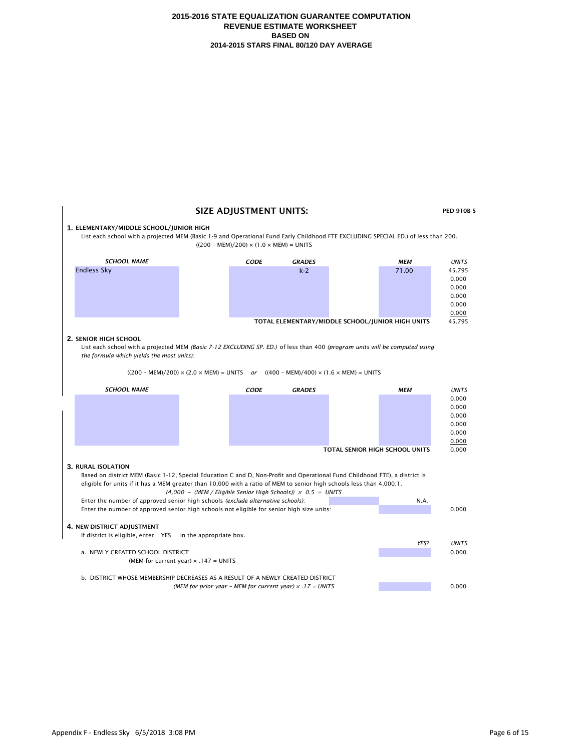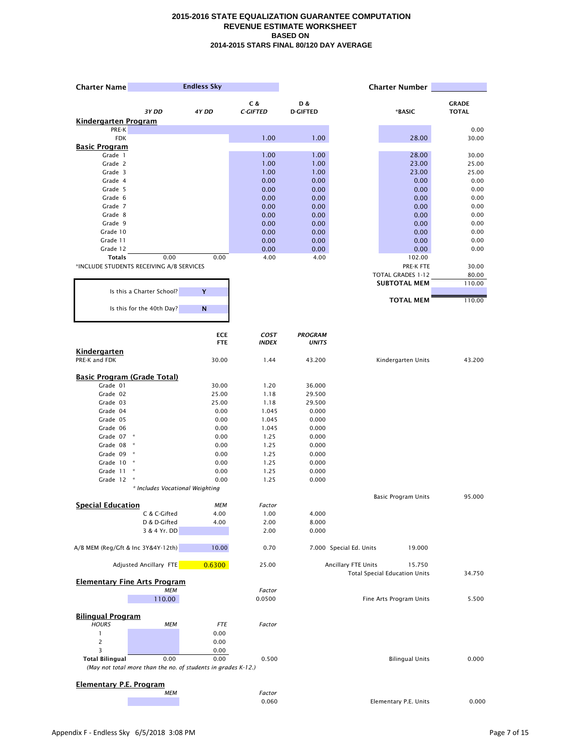| <b>Charter Name</b>                  |                                          | <b>Endless Sky</b>                                            |                 |                 |                         | <b>Charter Number</b>                          |               |
|--------------------------------------|------------------------------------------|---------------------------------------------------------------|-----------------|-----------------|-------------------------|------------------------------------------------|---------------|
|                                      |                                          |                                                               | C &             | D &             |                         |                                                | <b>GRADE</b>  |
|                                      | 3Y DD                                    | 4Y DD                                                         | <b>C-GIFTED</b> | <b>D-GIFTED</b> |                         | *BASIC                                         | <b>TOTAL</b>  |
| <b>Kindergarten Program</b>          |                                          |                                                               |                 |                 |                         |                                                |               |
| PRE-K<br><b>FDK</b>                  |                                          |                                                               | 1.00            | 1.00            |                         | 28.00                                          | 0.00<br>30.00 |
| <b>Basic Program</b>                 |                                          |                                                               |                 |                 |                         |                                                |               |
| Grade 1                              |                                          |                                                               | 1.00            | 1.00            |                         | 28.00                                          | 30.00         |
| Grade 2                              |                                          |                                                               | 1.00            | 1.00            |                         | 23.00                                          | 25.00         |
| Grade 3                              |                                          |                                                               | 1.00            | 1.00            |                         | 23.00                                          | 25.00         |
| Grade 4                              |                                          |                                                               | 0.00            | 0.00            |                         | 0.00                                           | 0.00          |
| Grade 5                              |                                          |                                                               | 0.00            | 0.00            |                         | 0.00                                           | 0.00          |
| Grade 6                              |                                          |                                                               | 0.00            | 0.00            |                         | 0.00                                           | 0.00          |
| Grade 7<br>Grade 8                   |                                          |                                                               | 0.00<br>0.00    | 0.00<br>0.00    |                         | 0.00<br>0.00                                   | 0.00<br>0.00  |
| Grade 9                              |                                          |                                                               | 0.00            | 0.00            |                         | 0.00                                           | 0.00          |
| Grade 10                             |                                          |                                                               | 0.00            | 0.00            |                         | 0.00                                           | 0.00          |
| Grade 11                             |                                          |                                                               | 0.00            | 0.00            |                         | 0.00                                           | 0.00          |
| Grade 12                             |                                          |                                                               | 0.00            | 0.00            |                         | 0.00                                           | 0.00          |
| <b>Totals</b>                        | 0.00                                     | 0.00                                                          | 4.00            | 4.00            |                         | 102.00                                         |               |
|                                      | *INCLUDE STUDENTS RECEIVING A/B SERVICES |                                                               |                 |                 |                         | PRE-K FTE                                      | 30.00         |
|                                      |                                          |                                                               |                 |                 |                         | <b>TOTAL GRADES 1-12</b>                       | 80.00         |
|                                      |                                          |                                                               |                 |                 |                         | <b>SUBTOTAL MEM</b>                            | 110.00        |
|                                      | Is this a Charter School?                | Y                                                             |                 |                 |                         |                                                |               |
|                                      | Is this for the 40th Day?                | ${\bf N}$                                                     |                 |                 |                         | <b>TOTAL MEM</b>                               | 110.00        |
|                                      |                                          | <b>ECE</b>                                                    | COST            | <b>PROGRAM</b>  |                         |                                                |               |
|                                      |                                          | <b>FTE</b>                                                    | <b>INDEX</b>    | <b>UNITS</b>    |                         |                                                |               |
| <b>Kindergarten</b><br>PRE-K and FDK |                                          | 30.00                                                         | 1.44            | 43.200          |                         | Kindergarten Units                             | 43.200        |
|                                      | <b>Basic Program (Grade Total)</b>       |                                                               |                 |                 |                         |                                                |               |
| Grade 01                             |                                          | 30.00                                                         | 1.20            | 36.000          |                         |                                                |               |
| Grade 02                             |                                          | 25.00                                                         | 1.18            | 29.500          |                         |                                                |               |
| Grade 03                             |                                          | 25.00                                                         | 1.18            | 29.500          |                         |                                                |               |
| Grade 04                             |                                          | 0.00                                                          | 1.045           | 0.000           |                         |                                                |               |
| Grade 05                             |                                          | 0.00                                                          | 1.045           | 0.000           |                         |                                                |               |
| Grade 06<br>Grade 07 *               |                                          | 0.00<br>0.00                                                  | 1.045<br>1.25   | 0.000<br>0.000  |                         |                                                |               |
| Grade 08                             | $\ast$                                   | 0.00                                                          | 1.25            | 0.000           |                         |                                                |               |
| Grade 09                             | $\star$                                  | 0.00                                                          | 1.25            | 0.000           |                         |                                                |               |
| Grade 10                             | $\star$                                  | 0.00                                                          | 1.25            | 0.000           |                         |                                                |               |
| Grade 11                             | $\star$                                  | 0.00                                                          | 1.25            | 0.000           |                         |                                                |               |
| Grade 12                             | $\ast$                                   | 0.00                                                          | 1.25            | 0.000           |                         |                                                |               |
|                                      | * Includes Vocational Weighting          |                                                               |                 |                 |                         |                                                |               |
|                                      |                                          | <b>MEM</b>                                                    |                 |                 |                         | <b>Basic Program Units</b>                     | 95.000        |
| <b>Special Education</b>             | C & C-Gifted                             | 4.00                                                          | Factor<br>1.00  | 4.000           |                         |                                                |               |
|                                      | D & D-Gifted                             | 4.00                                                          | 2.00            | 8.000           |                         |                                                |               |
|                                      | 3 & 4 Yr. DD                             |                                                               | 2.00            | 0.000           |                         |                                                |               |
| A/B MEM (Reg/Gft & Inc 3Y&4Y-12th)   |                                          | 10.00                                                         | 0.70            |                 | 7.000 Special Ed. Units | 19.000                                         |               |
|                                      | Adjusted Ancillary FTE                   | 0.6300                                                        | 25.00           |                 | Ancillary FTE Units     | 15.750<br><b>Total Special Education Units</b> | 34.750        |
|                                      | <b>Elementary Fine Arts Program</b>      |                                                               |                 |                 |                         |                                                |               |
|                                      | <b>MEM</b>                               |                                                               | Factor          |                 |                         |                                                |               |
|                                      | 110.00                                   |                                                               | 0.0500          |                 |                         | Fine Arts Program Units                        | 5.500         |
| <b>Bilingual Program</b>             |                                          |                                                               |                 |                 |                         |                                                |               |
| <b>HOURS</b>                         | МЕМ                                      | <b>FTE</b>                                                    | Factor          |                 |                         |                                                |               |
| 1                                    |                                          | 0.00                                                          |                 |                 |                         |                                                |               |
|                                      |                                          | 0.00                                                          |                 |                 |                         |                                                |               |
| 3                                    |                                          | 0.00                                                          |                 |                 |                         |                                                |               |
| <b>Total Bilingual</b>               | 0.00                                     | 0.00                                                          | 0.500           |                 |                         | <b>Bilingual Units</b>                         | 0.000         |
|                                      |                                          | (May not total more than the no. of students in grades K-12.) |                 |                 |                         |                                                |               |
| <b>Elementary P.E. Program</b>       |                                          |                                                               |                 |                 |                         |                                                |               |
|                                      | <b>MEM</b>                               |                                                               | Factor          |                 |                         |                                                |               |
|                                      |                                          |                                                               | 0.060           |                 |                         | Elementary P.E. Units                          | 0.000         |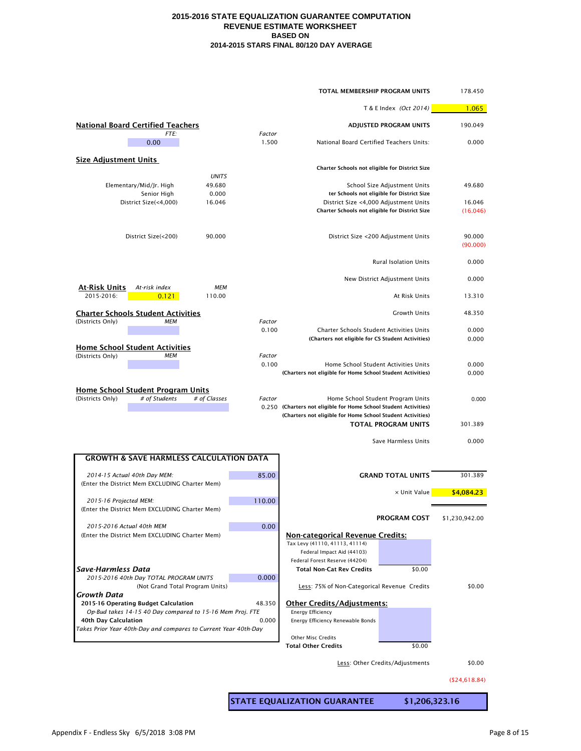|                                                                                         |                        |                 | TOTAL MEMBERSHIP PROGRAM UNITS                                   |                                            | 178.450            |
|-----------------------------------------------------------------------------------------|------------------------|-----------------|------------------------------------------------------------------|--------------------------------------------|--------------------|
|                                                                                         |                        |                 |                                                                  | T & E Index (Oct 2014)                     | 1.065              |
| <b>National Board Certified Teachers</b>                                                |                        |                 |                                                                  | <b>ADJUSTED PROGRAM UNITS</b>              | 190.049            |
| FTE:<br>0.00                                                                            |                        | Factor<br>1.500 | National Board Certified Teachers Units:                         |                                            | 0.000              |
| <b>Size Adjustment Units</b>                                                            |                        |                 | Charter Schools not eligible for District Size                   |                                            |                    |
|                                                                                         | <b>UNITS</b><br>49.680 |                 |                                                                  | School Size Adjustment Units               | 49.680             |
| Elementary/Mid/Jr. High<br>Senior High                                                  | 0.000                  |                 |                                                                  | ter Schools not eligible for District Size |                    |
| District Size(<4,000)                                                                   | 16.046                 |                 | District Size <4,000 Adjustment Units                            |                                            | 16.046             |
|                                                                                         |                        |                 | Charter Schools not eligible for District Size                   |                                            | (16.046)           |
| District Size(<200)                                                                     | 90.000                 |                 |                                                                  | District Size <200 Adjustment Units        | 90.000<br>(90.000) |
|                                                                                         |                        |                 |                                                                  | <b>Rural Isolation Units</b>               | 0.000              |
| <b>At-Risk Units</b><br>At-risk index                                                   | <b>MEM</b>             |                 |                                                                  | New District Adjustment Units              | 0.000              |
| 2015-2016:<br>0.121                                                                     | 110.00                 |                 |                                                                  | At Risk Units                              | 13.310             |
| <b>Charter Schools Student Activities</b><br>(Districts Only)<br>МЕМ                    |                        | Factor          |                                                                  | Growth Units                               | 48.350             |
|                                                                                         |                        | 0.100           | <b>Charter Schools Student Activities Units</b>                  |                                            | 0.000              |
|                                                                                         |                        |                 | (Charters not eligible for CS Student Activities)                |                                            | 0.000              |
| <b>Home School Student Activities</b>                                                   |                        |                 |                                                                  |                                            |                    |
| (Districts Only)<br>МЕМ                                                                 |                        | Factor<br>0.100 | Home School Student Activities Units                             |                                            | 0.000              |
|                                                                                         |                        |                 | (Charters not eligible for Home School Student Activities)       |                                            | 0.000              |
| <b>Home School Student Program Units</b>                                                |                        |                 |                                                                  |                                            |                    |
| (Districts Only)<br># of Students                                                       | # of Classes           | Factor          | Home School Student Program Units                                |                                            | 0.000              |
|                                                                                         |                        |                 | 0.250 (Charters not eligible for Home School Student Activities) |                                            |                    |
|                                                                                         |                        |                 | (Charters not eligible for Home School Student Activities)       | <b>TOTAL PROGRAM UNITS</b>                 | 301.389            |
|                                                                                         |                        |                 |                                                                  |                                            |                    |
|                                                                                         |                        |                 |                                                                  | Save Harmless Units                        | 0.000              |
| <b>GROWTH &amp; SAVE HARMLESS CALCULATION DATA</b>                                      |                        |                 |                                                                  |                                            |                    |
| 2014-15 Actual 40th Day MEM:                                                            |                        | 85.00           |                                                                  | <b>GRAND TOTAL UNITS</b>                   | 301.389            |
| (Enter the District Mem EXCLUDING Charter Mem)                                          |                        |                 |                                                                  | x Unit Value                               | \$4,084.23         |
| 2015-16 Projected MEM:                                                                  |                        | 110.00          |                                                                  |                                            |                    |
| (Enter the District Mem EXCLUDING Charter Mem)                                          |                        |                 |                                                                  |                                            |                    |
| 2015-2016 Actual 40th MEM                                                               |                        | 0.00            |                                                                  | <b>PROGRAM COST</b>                        | \$1,230,942.00     |
| (Enter the District Mem EXCLUDING Charter Mem)                                          |                        |                 | <b>Non-categorical Revenue Credits:</b>                          |                                            |                    |
|                                                                                         |                        |                 | Tax Levy (41110, 41113, 41114)                                   |                                            |                    |
|                                                                                         |                        |                 | Federal Impact Aid (44103)<br>Federal Forest Reserve (44204)     |                                            |                    |
| <b>Save-Harmless Data</b>                                                               |                        |                 | <b>Total Non-Cat Rev Credits</b>                                 | \$0.00                                     |                    |
| 2015-2016 40th Day TOTAL PROGRAM UNITS                                                  |                        | 0.000           |                                                                  |                                            |                    |
| (Not Grand Total Program Units)<br>Growth Data                                          |                        |                 | Less: 75% of Non-Categorical Revenue Credits                     |                                            | \$0.00             |
| 2015-16 Operating Budget Calculation                                                    |                        | 48.350          | <b>Other Credits/Adjustments:</b>                                |                                            |                    |
| Op-Bud takes 14-15 40 Day compared to 15-16 Mem Proj. FTE                               |                        |                 | <b>Energy Efficiency</b>                                         |                                            |                    |
| 40th Day Calculation<br>Takes Prior Year 40th-Day and compares to Current Year 40th-Day |                        | 0.000           | Energy Efficiency Renewable Bonds                                |                                            |                    |
|                                                                                         |                        |                 | <b>Other Misc Credits</b>                                        |                                            |                    |
|                                                                                         |                        |                 | <b>Total Other Credits</b>                                       | \$0.00                                     |                    |
|                                                                                         |                        |                 |                                                                  | Less: Other Credits/Adjustments            | \$0.00             |
|                                                                                         |                        |                 |                                                                  |                                            |                    |

(\$24,618.84)

**STATE EQUALIZATION GUARANTEE \$1,206,323.16**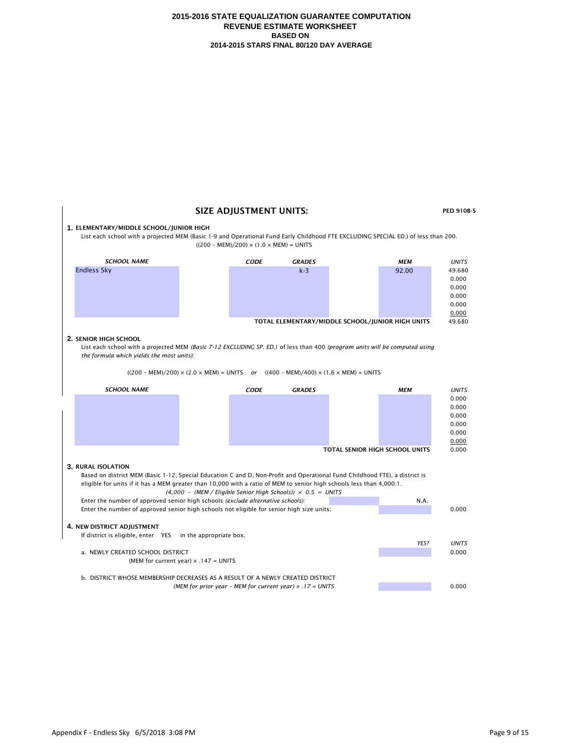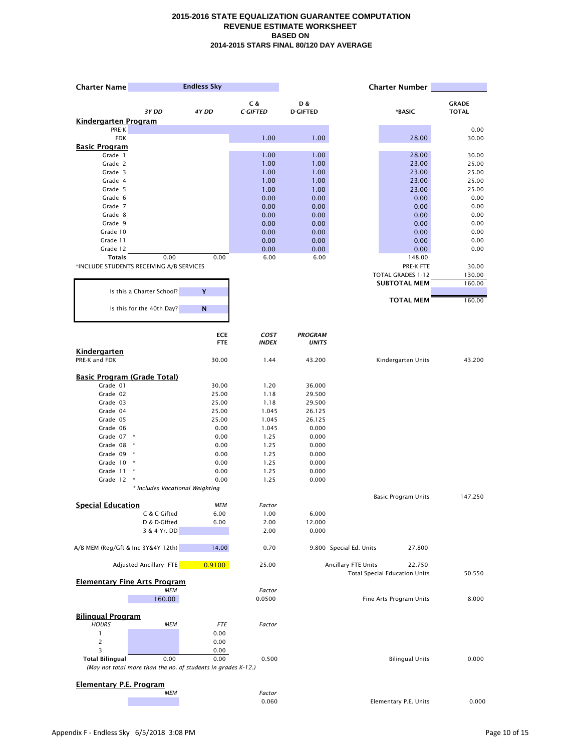| <b>Charter Name</b>                      |                                 | <b>Endless Sky</b>                                                    |                             |                                |                         | <b>Charter Number</b>                |               |
|------------------------------------------|---------------------------------|-----------------------------------------------------------------------|-----------------------------|--------------------------------|-------------------------|--------------------------------------|---------------|
|                                          |                                 |                                                                       | C &                         | D &                            |                         |                                      | <b>GRADE</b>  |
|                                          | 3Y DD                           | 4Y DD                                                                 | <b>C-GIFTED</b>             | <b>D-GIFTED</b>                |                         | *BASIC                               | <b>TOTAL</b>  |
| <b>Kindergarten Program</b>              |                                 |                                                                       |                             |                                |                         |                                      |               |
| PRE-K<br><b>FDK</b>                      |                                 |                                                                       | 1.00                        | 1.00                           |                         | 28.00                                | 0.00<br>30.00 |
| <b>Basic Program</b>                     |                                 |                                                                       |                             |                                |                         |                                      |               |
| Grade 1                                  |                                 |                                                                       | 1.00                        | 1.00                           |                         | 28.00                                | 30.00         |
| Grade 2                                  |                                 |                                                                       | 1.00                        | 1.00                           |                         | 23.00                                | 25.00         |
| Grade 3                                  |                                 |                                                                       | 1.00                        | 1.00                           |                         | 23.00                                | 25.00         |
| Grade 4                                  |                                 |                                                                       | 1.00                        | 1.00                           |                         | 23.00                                | 25.00         |
| Grade 5                                  |                                 |                                                                       | 1.00                        | 1.00                           |                         | 23.00                                | 25.00         |
| Grade 6                                  |                                 |                                                                       | 0.00                        | 0.00                           |                         | 0.00                                 | 0.00          |
| Grade 7                                  |                                 |                                                                       | 0.00                        | 0.00                           |                         | 0.00                                 | 0.00          |
| Grade 8<br>Grade 9                       |                                 |                                                                       | 0.00<br>0.00                | 0.00<br>0.00                   |                         | 0.00<br>0.00                         | 0.00<br>0.00  |
| Grade 10                                 |                                 |                                                                       | 0.00                        | 0.00                           |                         | 0.00                                 | 0.00          |
| Grade 11                                 |                                 |                                                                       | 0.00                        | 0.00                           |                         | 0.00                                 | 0.00          |
| Grade 12                                 |                                 |                                                                       | 0.00                        | 0.00                           |                         | 0.00                                 | 0.00          |
| <b>Totals</b>                            | 0.00                            | 0.00                                                                  | 6.00                        | 6.00                           |                         | 148.00                               |               |
| *INCLUDE STUDENTS RECEIVING A/B SERVICES |                                 |                                                                       |                             |                                |                         | PRE-K FTE                            | 30.00         |
|                                          |                                 |                                                                       |                             |                                |                         | <b>TOTAL GRADES 1-12</b>             | 130.00        |
|                                          |                                 |                                                                       |                             |                                |                         | <b>SUBTOTAL MEM</b>                  | 160.00        |
|                                          | Is this a Charter School?       | Y                                                                     |                             |                                |                         |                                      |               |
|                                          | Is this for the 40th Day?       | ${\bf N}$                                                             |                             |                                |                         | <b>TOTAL MEM</b>                     | 160.00        |
|                                          |                                 |                                                                       |                             |                                |                         |                                      |               |
|                                          |                                 |                                                                       |                             |                                |                         |                                      |               |
|                                          |                                 | <b>ECE</b><br><b>FTE</b>                                              | <b>COST</b><br><b>INDEX</b> | <b>PROGRAM</b><br><b>UNITS</b> |                         |                                      |               |
| <b>Kindergarten</b>                      |                                 |                                                                       |                             |                                |                         |                                      |               |
| PRE-K and FDK                            |                                 | 30.00                                                                 | 1.44                        | 43.200                         |                         | Kindergarten Units                   | 43.200        |
|                                          |                                 |                                                                       |                             |                                |                         |                                      |               |
| <b>Basic Program (Grade Total)</b>       |                                 |                                                                       |                             |                                |                         |                                      |               |
| Grade 01                                 |                                 | 30.00                                                                 | 1.20                        | 36.000                         |                         |                                      |               |
| Grade 02                                 |                                 | 25.00                                                                 | 1.18                        | 29.500                         |                         |                                      |               |
| Grade 03                                 |                                 | 25.00                                                                 | 1.18                        | 29.500                         |                         |                                      |               |
| Grade 04                                 |                                 | 25.00                                                                 | 1.045                       | 26.125                         |                         |                                      |               |
| Grade 05                                 |                                 | 25.00                                                                 | 1.045                       | 26.125                         |                         |                                      |               |
| Grade 06<br>Grade 07 *                   |                                 | 0.00<br>0.00                                                          | 1.045<br>1.25               | 0.000<br>0.000                 |                         |                                      |               |
| Grade 08                                 | $\star$                         | 0.00                                                                  | 1.25                        | 0.000                          |                         |                                      |               |
| Grade 09 *                               |                                 | 0.00                                                                  | 1.25                        | 0.000                          |                         |                                      |               |
| Grade 10 *                               |                                 | 0.00                                                                  | 1.25                        | 0.000                          |                         |                                      |               |
| Grade 11                                 | $\ast$                          | 0.00                                                                  | 1.25                        | 0.000                          |                         |                                      |               |
| Grade 12                                 | $\ast$                          | 0.00                                                                  | 1.25                        | 0.000                          |                         |                                      |               |
|                                          | * Includes Vocational Weighting |                                                                       |                             |                                |                         |                                      |               |
|                                          |                                 |                                                                       |                             |                                |                         | <b>Basic Program Units</b>           | 147.250       |
| <b>Special Education</b>                 |                                 | <b>MEM</b>                                                            | Factor                      |                                |                         |                                      |               |
|                                          | C & C-Gifted                    | 6.00                                                                  | 1.00                        | 6.000                          |                         |                                      |               |
|                                          | D & D-Gifted                    | 6.00                                                                  | 2.00                        | 12.000                         |                         |                                      |               |
|                                          | 3 & 4 Yr. DD                    |                                                                       | 2.00                        | 0.000                          |                         |                                      |               |
| A/B MEM (Reg/Gft & Inc 3Y&4Y-12th)       |                                 | 14.00                                                                 | 0.70                        |                                | 9.800 Special Ed. Units | 27.800                               |               |
|                                          |                                 |                                                                       |                             |                                |                         |                                      |               |
|                                          | Adjusted Ancillary FTE          | 0.9100                                                                | 25.00                       |                                | Ancillary FTE Units     | 22.750                               |               |
|                                          |                                 |                                                                       |                             |                                |                         | <b>Total Special Education Units</b> | 50.550        |
| <b>Elementary Fine Arts Program</b>      | <b>MEM</b>                      |                                                                       | Factor                      |                                |                         |                                      |               |
|                                          | 160.00                          |                                                                       | 0.0500                      |                                |                         | Fine Arts Program Units              | 8.000         |
|                                          |                                 |                                                                       |                             |                                |                         |                                      |               |
| <b>Bilingual Program</b>                 |                                 |                                                                       |                             |                                |                         |                                      |               |
| <b>HOURS</b>                             | <b>MEM</b>                      | <b>FTE</b>                                                            | Factor                      |                                |                         |                                      |               |
|                                          |                                 | 0.00                                                                  |                             |                                |                         |                                      |               |
| 2                                        |                                 | 0.00                                                                  |                             |                                |                         |                                      |               |
| 3                                        |                                 | 0.00                                                                  |                             |                                |                         |                                      |               |
| <b>Total Bilingual</b>                   | 0.00                            | 0.00<br>(May not total more than the no. of students in grades K-12.) | 0.500                       |                                |                         | <b>Bilingual Units</b>               | 0.000         |
|                                          |                                 |                                                                       |                             |                                |                         |                                      |               |
| <b>Elementary P.E. Program</b>           |                                 |                                                                       |                             |                                |                         |                                      |               |
|                                          | <b>MEM</b>                      |                                                                       | Factor                      |                                |                         |                                      |               |
|                                          |                                 |                                                                       | 0.060                       |                                |                         | Elementary P.E. Units                | 0.000         |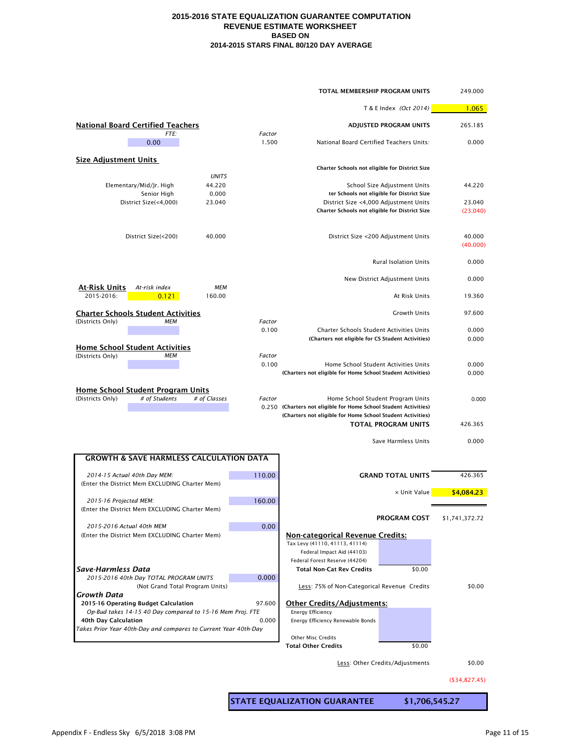|                                                                          |                        |                 | <b>TOTAL MEMBERSHIP PROGRAM UNITS</b>                                                                 |                                            | 249.000            |
|--------------------------------------------------------------------------|------------------------|-----------------|-------------------------------------------------------------------------------------------------------|--------------------------------------------|--------------------|
|                                                                          |                        |                 |                                                                                                       | T & E Index (Oct 2014)                     | 1.065              |
| <b>National Board Certified Teachers</b>                                 |                        |                 |                                                                                                       | <b>ADJUSTED PROGRAM UNITS</b>              | 265.185            |
| FTE:<br>0.00                                                             |                        | Factor<br>1.500 | National Board Certified Teachers Units:                                                              |                                            | 0.000              |
| <b>Size Adjustment Units</b>                                             |                        |                 | Charter Schools not eligible for District Size                                                        |                                            |                    |
| Elementary/Mid/Jr. High                                                  | <b>UNITS</b><br>44.220 |                 |                                                                                                       | School Size Adjustment Units               | 44.220             |
| Senior High                                                              | 0.000                  |                 |                                                                                                       | ter Schools not eligible for District Size |                    |
| District Size(<4,000)                                                    | 23.040                 |                 | District Size <4,000 Adjustment Units                                                                 |                                            | 23.040             |
|                                                                          |                        |                 | Charter Schools not eligible for District Size                                                        |                                            | (23.040)           |
| District Size(<200)                                                      | 40.000                 |                 |                                                                                                       | District Size <200 Adjustment Units        | 40.000<br>(40.000) |
|                                                                          |                        |                 |                                                                                                       | <b>Rural Isolation Units</b>               | 0.000              |
| <b>At-Risk Units</b><br>At-risk index                                    | MEM                    |                 |                                                                                                       | New District Adjustment Units              | 0.000              |
| 2015-2016:<br>0.121                                                      | 160.00                 |                 |                                                                                                       | At Risk Units                              | 19.360             |
| <b>Charter Schools Student Activities</b>                                |                        |                 |                                                                                                       | <b>Growth Units</b>                        | 97.600             |
| (Districts Only)<br>MEM                                                  |                        | Factor<br>0.100 | <b>Charter Schools Student Activities Units</b>                                                       |                                            | 0.000              |
|                                                                          |                        |                 | (Charters not eligible for CS Student Activities)                                                     |                                            | 0.000              |
| <b>Home School Student Activities</b>                                    |                        |                 |                                                                                                       |                                            |                    |
| (Districts Only)<br>МЕМ                                                  |                        | Factor          |                                                                                                       |                                            |                    |
|                                                                          |                        | 0.100           | Home School Student Activities Units<br>(Charters not eligible for Home School Student Activities)    |                                            | 0.000<br>0.000     |
|                                                                          |                        |                 |                                                                                                       |                                            |                    |
| <b>Home School Student Program Units</b>                                 |                        |                 |                                                                                                       |                                            |                    |
| # of Students<br>(Districts Only)                                        | # of Classes           | Factor          | Home School Student Program Units<br>0.250 (Charters not eligible for Home School Student Activities) |                                            | 0.000              |
|                                                                          |                        |                 | (Charters not eligible for Home School Student Activities)                                            |                                            |                    |
|                                                                          |                        |                 |                                                                                                       | <b>TOTAL PROGRAM UNITS</b>                 | 426.365            |
|                                                                          |                        |                 |                                                                                                       | Save Harmless Units                        | 0.000              |
| <b>GROWTH &amp; SAVE HARMLESS CALCULATION DATA</b>                       |                        |                 |                                                                                                       |                                            |                    |
| 2014-15 Actual 40th Day MEM:                                             |                        | 110.00          |                                                                                                       | <b>GRAND TOTAL UNITS</b>                   | 426.365            |
| (Enter the District Mem EXCLUDING Charter Mem)                           |                        |                 |                                                                                                       |                                            |                    |
|                                                                          |                        |                 |                                                                                                       | x Unit Value                               | \$4,084.23         |
| 2015-16 Projected MEM:<br>(Enter the District Mem EXCLUDING Charter Mem) |                        | 160.00          |                                                                                                       |                                            |                    |
|                                                                          |                        |                 |                                                                                                       | <b>PROGRAM COST</b>                        | \$1,741,372.72     |
| 2015-2016 Actual 40th MEM                                                |                        | 0.00            |                                                                                                       |                                            |                    |
| (Enter the District Mem EXCLUDING Charter Mem)                           |                        |                 | <b>Non-categorical Revenue Credits:</b>                                                               |                                            |                    |
|                                                                          |                        |                 | Tax Levy (41110, 41113, 41114)<br>Federal Impact Aid (44103)                                          |                                            |                    |
|                                                                          |                        |                 | Federal Forest Reserve (44204)                                                                        |                                            |                    |
| <b>Save-Harmless Data</b>                                                |                        |                 | <b>Total Non-Cat Rev Credits</b>                                                                      | \$0.00                                     |                    |
| 2015-2016 40th Day TOTAL PROGRAM UNITS                                   |                        | 0.000           |                                                                                                       |                                            |                    |
| (Not Grand Total Program Units)<br><b>Growth Data</b>                    |                        |                 | Less: 75% of Non-Categorical Revenue Credits                                                          |                                            | \$0.00             |
| 2015-16 Operating Budget Calculation                                     |                        | 97.600          | <b>Other Credits/Adjustments:</b>                                                                     |                                            |                    |
| Op-Bud takes 14-15 40 Day compared to 15-16 Mem Proj. FTE                |                        |                 | <b>Energy Efficiency</b>                                                                              |                                            |                    |
| 40th Day Calculation                                                     |                        | 0.000           | Energy Efficiency Renewable Bonds                                                                     |                                            |                    |
| Takes Prior Year 40th-Day and compares to Current Year 40th-Day          |                        |                 | <b>Other Misc Credits</b>                                                                             |                                            |                    |
|                                                                          |                        |                 | <b>Total Other Credits</b>                                                                            | \$0.00                                     |                    |
|                                                                          |                        |                 |                                                                                                       |                                            |                    |
|                                                                          |                        |                 |                                                                                                       | Less: Other Credits/Adjustments            | \$0.00             |

(\$34,827.45)

**STATE EQUALIZATION GUARANTEE \$1,706,545.27**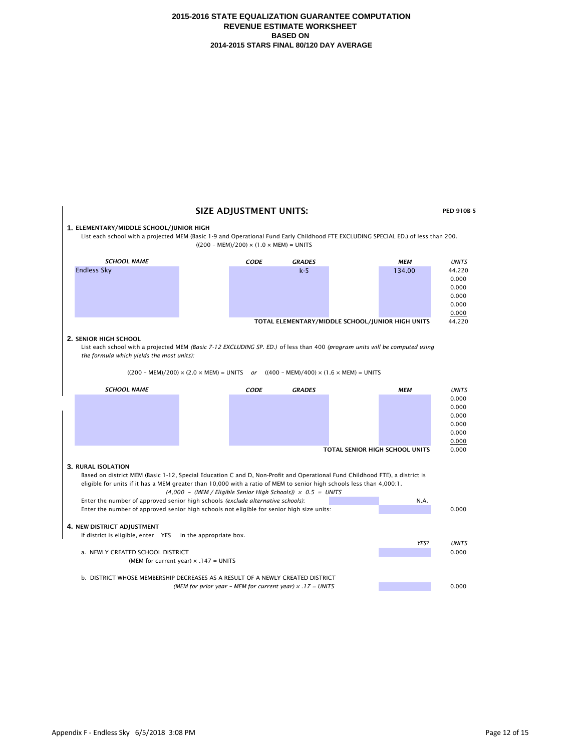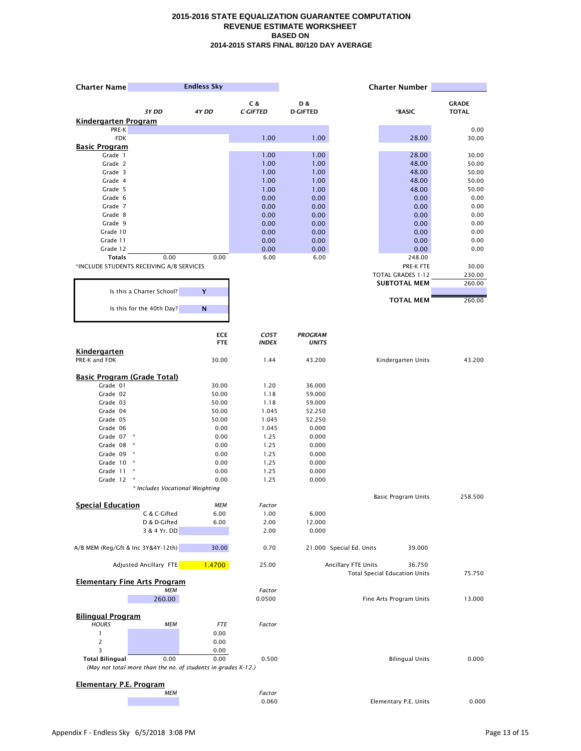| <b>Charter Name</b>                      |                                                               | <b>Endless Sky</b>       |                             |                                |                          | <b>Charter Number</b>                |               |
|------------------------------------------|---------------------------------------------------------------|--------------------------|-----------------------------|--------------------------------|--------------------------|--------------------------------------|---------------|
|                                          |                                                               |                          | C &                         | D &                            |                          |                                      | <b>GRADE</b>  |
|                                          | 3Y DD                                                         | 4Y DD                    | <b>C-GIFTED</b>             | <b>D-GIFTED</b>                |                          | *BASIC                               | <b>TOTAL</b>  |
| <b>Kindergarten Program</b>              |                                                               |                          |                             |                                |                          |                                      |               |
| PRE-K<br><b>FDK</b>                      |                                                               |                          | 1.00                        | 1.00                           |                          | 28.00                                | 0.00<br>30.00 |
| <b>Basic Program</b>                     |                                                               |                          |                             |                                |                          |                                      |               |
| Grade 1                                  |                                                               |                          | 1.00                        | 1.00                           |                          | 28.00                                | 30.00         |
| Grade 2                                  |                                                               |                          | 1.00                        | 1.00                           |                          | 48.00                                | 50.00         |
| Grade 3                                  |                                                               |                          | 1.00                        | 1.00                           |                          | 48.00                                | 50.00         |
| Grade 4                                  |                                                               |                          | 1.00                        | 1.00                           |                          | 48.00                                | 50.00         |
| Grade 5                                  |                                                               |                          | 1.00                        | 1.00                           |                          | 48.00                                | 50.00         |
| Grade 6                                  |                                                               |                          | 0.00                        | 0.00                           |                          | 0.00                                 | 0.00          |
| Grade 7<br>Grade 8                       |                                                               |                          | 0.00<br>0.00                | 0.00<br>0.00                   |                          | 0.00<br>0.00                         | 0.00<br>0.00  |
| Grade 9                                  |                                                               |                          | 0.00                        | 0.00                           |                          | 0.00                                 | 0.00          |
| Grade 10                                 |                                                               |                          | 0.00                        | 0.00                           |                          | 0.00                                 | 0.00          |
| Grade 11                                 |                                                               |                          | 0.00                        | 0.00                           |                          | 0.00                                 | 0.00          |
| Grade 12                                 |                                                               |                          | 0.00                        | 0.00                           |                          | 0.00                                 | 0.00          |
| <b>Totals</b>                            | 0.00                                                          | 0.00                     | 6.00                        | 6.00                           |                          | 248.00                               |               |
|                                          | *INCLUDE STUDENTS RECEIVING A/B SERVICES                      |                          |                             |                                |                          | PRE-K FTE                            | 30.00         |
|                                          |                                                               |                          |                             |                                |                          | <b>TOTAL GRADES 1-12</b>             | 230.00        |
|                                          |                                                               |                          |                             |                                |                          | <b>SUBTOTAL MEM</b>                  | 260.00        |
|                                          | Is this a Charter School?                                     | Y                        |                             |                                |                          |                                      |               |
|                                          | Is this for the 40th Day?                                     | ${\bf N}$                |                             |                                |                          | <b>TOTAL MEM</b>                     | 260.00        |
|                                          |                                                               |                          |                             |                                |                          |                                      |               |
|                                          |                                                               | <b>ECE</b><br><b>FTE</b> | <b>COST</b><br><b>INDEX</b> | <b>PROGRAM</b><br><b>UNITS</b> |                          |                                      |               |
| <b>Kindergarten</b>                      |                                                               |                          |                             |                                |                          |                                      |               |
| PRE-K and FDK                            |                                                               | 30.00                    | 1.44                        | 43.200                         |                          | Kindergarten Units                   | 43.200        |
| <b>Basic Program (Grade Total)</b>       |                                                               |                          |                             |                                |                          |                                      |               |
| Grade 01                                 |                                                               | 30.00                    | 1.20                        | 36.000                         |                          |                                      |               |
| Grade 02                                 |                                                               | 50.00                    | 1.18                        | 59.000                         |                          |                                      |               |
| Grade 03                                 |                                                               | 50.00                    | 1.18                        | 59.000                         |                          |                                      |               |
| Grade 04                                 |                                                               | 50.00                    | 1.045                       | 52.250                         |                          |                                      |               |
| Grade 05                                 |                                                               | 50.00                    | 1.045                       | 52.250                         |                          |                                      |               |
| Grade 06                                 |                                                               | 0.00                     | 1.045                       | 0.000                          |                          |                                      |               |
| Grade 07 *                               |                                                               | 0.00                     | 1.25                        | 0.000                          |                          |                                      |               |
| Grade 08                                 | $\star$                                                       | 0.00                     | 1.25                        | 0.000                          |                          |                                      |               |
| Grade 09                                 | $\star$                                                       | 0.00                     | 1.25                        | 0.000                          |                          |                                      |               |
| Grade 10                                 | $\ast$                                                        | 0.00                     | 1.25                        | 0.000                          |                          |                                      |               |
| Grade 11                                 | $\ast$<br>$\ast$                                              | 0.00                     | 1.25                        | 0.000                          |                          |                                      |               |
| Grade 12                                 | * Includes Vocational Weighting                               | 0.00                     | 1.25                        | 0.000                          |                          |                                      |               |
|                                          |                                                               |                          |                             |                                |                          | <b>Basic Program Units</b>           | 258.500       |
| <b>Special Education</b>                 |                                                               | <b>MEM</b>               | Factor                      |                                |                          |                                      |               |
|                                          | C & C-Gifted                                                  | 6.00                     | 1.00                        | 6.000                          |                          |                                      |               |
|                                          | D & D-Gifted                                                  | 6.00                     | 2.00                        | 12.000                         |                          |                                      |               |
|                                          | 3 & 4 Yr. DD                                                  |                          | 2.00                        | 0.000                          |                          |                                      |               |
| A/B MEM (Reg/Gft & Inc 3Y&4Y-12th)       |                                                               | 30.00                    | 0.70                        |                                | 21.000 Special Ed. Units | 39.000                               |               |
|                                          | Adjusted Ancillary FTE                                        | 1.4700                   | 25.00                       |                                | Ancillary FTE Units      | 36.750                               |               |
|                                          | <b>Elementary Fine Arts Program</b>                           |                          |                             |                                |                          | <b>Total Special Education Units</b> | 75.750        |
|                                          | <b>MEM</b>                                                    |                          | Factor                      |                                |                          |                                      |               |
|                                          | 260.00                                                        |                          | 0.0500                      |                                |                          | Fine Arts Program Units              | 13.000        |
|                                          |                                                               |                          |                             |                                |                          |                                      |               |
| <b>Bilingual Program</b><br><b>HOURS</b> | МЕМ                                                           | <b>FTE</b>               | Factor                      |                                |                          |                                      |               |
| 1                                        |                                                               | 0.00                     |                             |                                |                          |                                      |               |
| 2                                        |                                                               | 0.00                     |                             |                                |                          |                                      |               |
| 3                                        |                                                               | 0.00                     |                             |                                |                          |                                      |               |
| <b>Total Bilingual</b>                   | 0.00                                                          | 0.00                     | 0.500                       |                                |                          | <b>Bilingual Units</b>               | 0.000         |
|                                          | (May not total more than the no. of students in grades K-12.) |                          |                             |                                |                          |                                      |               |
|                                          |                                                               |                          |                             |                                |                          |                                      |               |
| <b>Elementary P.E. Program</b>           |                                                               |                          |                             |                                |                          |                                      |               |
|                                          | <b>MEM</b>                                                    |                          | Factor                      |                                |                          |                                      |               |
|                                          |                                                               |                          | 0.060                       |                                |                          | Elementary P.E. Units                | 0.000         |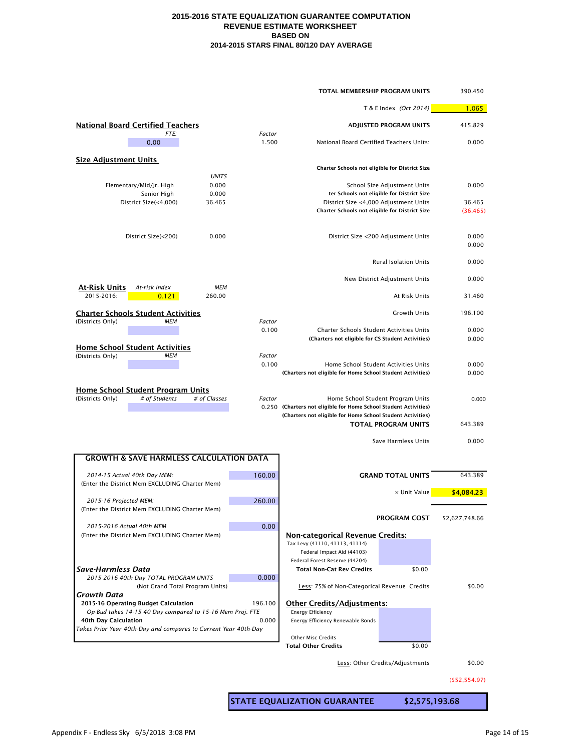|                                                                                         |                 | TOTAL MEMBERSHIP PROGRAM UNITS                                                                                                 | 390.450        |
|-----------------------------------------------------------------------------------------|-----------------|--------------------------------------------------------------------------------------------------------------------------------|----------------|
|                                                                                         |                 | T & E Index (Oct 2014)                                                                                                         | 1.065          |
| <b>National Board Certified Teachers</b>                                                |                 | <b>ADJUSTED PROGRAM UNITS</b>                                                                                                  | 415.829        |
| FTE:<br>0.00                                                                            | Factor<br>1.500 | National Board Certified Teachers Units:                                                                                       | 0.000          |
| <b>Size Adjustment Units</b>                                                            |                 | Charter Schools not eligible for District Size                                                                                 |                |
| <b>UNITS</b><br>0.000<br>Elementary/Mid/Jr. High                                        |                 | School Size Adjustment Units                                                                                                   | 0.000          |
| Senior High<br>0.000                                                                    |                 | ter Schools not eligible for District Size                                                                                     |                |
| District Size(<4,000)<br>36.465                                                         |                 | District Size <4,000 Adjustment Units                                                                                          | 36.465         |
|                                                                                         |                 | Charter Schools not eligible for District Size                                                                                 | (36.465)       |
| District Size(<200)<br>0.000                                                            |                 | District Size <200 Adjustment Units                                                                                            | 0.000<br>0.000 |
|                                                                                         |                 | <b>Rural Isolation Units</b>                                                                                                   | 0.000          |
| <b>At-Risk Units</b><br>At-risk index<br>MEM                                            |                 | New District Adjustment Units                                                                                                  | 0.000          |
| 2015-2016:<br>0.121<br>260.00                                                           |                 | At Risk Units                                                                                                                  | 31.460         |
| <b>Charter Schools Student Activities</b>                                               |                 | <b>Growth Units</b>                                                                                                            | 196.100        |
| (Districts Only)<br>MEM                                                                 | Factor<br>0.100 | <b>Charter Schools Student Activities Units</b>                                                                                | 0.000          |
|                                                                                         |                 | (Charters not eligible for CS Student Activities)                                                                              | 0.000          |
| <b>Home School Student Activities</b><br>(Districts Only)<br>MEM                        | Factor          |                                                                                                                                |                |
|                                                                                         | 0.100           | Home School Student Activities Units<br>(Charters not eligible for Home School Student Activities)                             | 0.000<br>0.000 |
| <b>Home School Student Program Units</b>                                                |                 |                                                                                                                                |                |
| # of Students<br># of Classes<br>(Districts Only)                                       | Factor          | Home School Student Program Units                                                                                              | 0.000          |
|                                                                                         |                 | 0.250 (Charters not eligible for Home School Student Activities)<br>(Charters not eligible for Home School Student Activities) |                |
|                                                                                         |                 | <b>TOTAL PROGRAM UNITS</b>                                                                                                     | 643.389        |
|                                                                                         |                 | Save Harmless Units                                                                                                            | 0.000          |
| <b>GROWTH &amp; SAVE HARMLESS CALCULATION DATA</b>                                      |                 |                                                                                                                                |                |
| 2014-15 Actual 40th Day MEM:                                                            | 160.00          | <b>GRAND TOTAL UNITS</b>                                                                                                       | 643.389        |
| (Enter the District Mem EXCLUDING Charter Mem)                                          |                 |                                                                                                                                |                |
| 2015-16 Projected MEM:                                                                  | 260.00          | x Unit Value                                                                                                                   | \$4,084.23     |
| (Enter the District Mem EXCLUDING Charter Mem)                                          |                 |                                                                                                                                |                |
| 2015-2016 Actual 40th MEM                                                               | 0.00            | <b>PROGRAM COST</b>                                                                                                            | \$2,627,748.66 |
| (Enter the District Mem EXCLUDING Charter Mem)                                          |                 | <b>Non-categorical Revenue Credits:</b>                                                                                        |                |
|                                                                                         |                 | Tax Levy (41110, 41113, 41114)<br>Federal Impact Aid (44103)                                                                   |                |
|                                                                                         |                 | Federal Forest Reserve (44204)                                                                                                 |                |
| <b>Save-Harmless Data</b>                                                               |                 | <b>Total Non-Cat Rev Credits</b><br>\$0.00                                                                                     |                |
| 2015-2016 40th Day TOTAL PROGRAM UNITS<br>(Not Grand Total Program Units)               | 0.000           | Less: 75% of Non-Categorical Revenue Credits                                                                                   | \$0.00         |
| <b>Growth Data</b><br>2015-16 Operating Budget Calculation                              | 196.100         | <b>Other Credits/Adjustments:</b>                                                                                              |                |
| Op-Bud takes 14-15 40 Day compared to 15-16 Mem Proj. FTE                               |                 | <b>Energy Efficiency</b>                                                                                                       |                |
| 40th Day Calculation<br>Takes Prior Year 40th-Day and compares to Current Year 40th-Day | 0.000           | Energy Efficiency Renewable Bonds                                                                                              |                |
|                                                                                         |                 | <b>Other Misc Credits</b>                                                                                                      |                |
|                                                                                         |                 | <b>Total Other Credits</b><br>\$0.00                                                                                           |                |
|                                                                                         |                 | Less: Other Credits/Adjustments                                                                                                | \$0.00         |

(\$52,554.97)

**STATE EQUALIZATION GUARANTEE \$2,575,193.68**